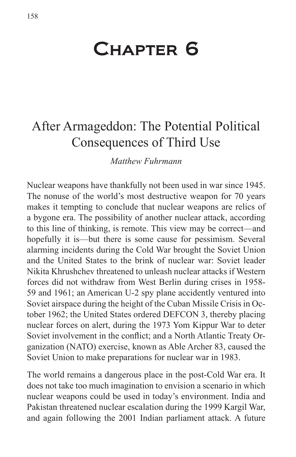# Chapter 6

## After Armageddon: The Potential Political Consequences of Third Use

*Matthew Fuhrmann*

Nuclear weapons have thankfully not been used in war since 1945. The nonuse of the world's most destructive weapon for 70 years makes it tempting to conclude that nuclear weapons are relics of a bygone era. The possibility of another nuclear attack, according to this line of thinking, is remote. This view may be correct—and hopefully it is—but there is some cause for pessimism. Several alarming incidents during the Cold War brought the Soviet Union and the United States to the brink of nuclear war: Soviet leader Nikita Khrushchev threatened to unleash nuclear attacks if Western forces did not withdraw from West Berlin during crises in 1958- 59 and 1961; an American U-2 spy plane accidently ventured into Soviet airspace during the height of the Cuban Missile Crisis in October 1962; the United States ordered DEFCON 3, thereby placing nuclear forces on alert, during the 1973 Yom Kippur War to deter Soviet involvement in the conflict; and a North Atlantic Treaty Organization (NATO) exercise, known as Able Archer 83, caused the Soviet Union to make preparations for nuclear war in 1983.

The world remains a dangerous place in the post-Cold War era. It does not take too much imagination to envision a scenario in which nuclear weapons could be used in today's environment. India and Pakistan threatened nuclear escalation during the 1999 Kargil War, and again following the 2001 Indian parliament attack. A future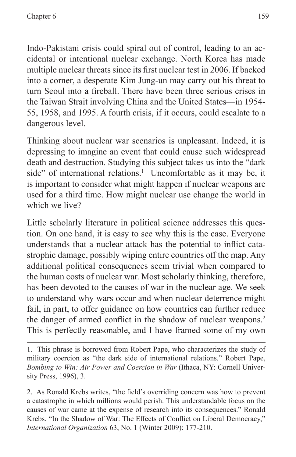Indo-Pakistani crisis could spiral out of control, leading to an accidental or intentional nuclear exchange. North Korea has made multiple nuclear threats since its first nuclear test in 2006. If backed into a corner, a desperate Kim Jung-un may carry out his threat to turn Seoul into a fireball. There have been three serious crises in the Taiwan Strait involving China and the United States—in 1954- 55, 1958, and 1995. A fourth crisis, if it occurs, could escalate to a dangerous level.

Thinking about nuclear war scenarios is unpleasant. Indeed, it is depressing to imagine an event that could cause such widespread death and destruction. Studying this subject takes us into the "dark side" of international relations.<sup>1</sup> Uncomfortable as it may be, it is important to consider what might happen if nuclear weapons are used for a third time. How might nuclear use change the world in which we live?

Little scholarly literature in political science addresses this question. On one hand, it is easy to see why this is the case. Everyone understands that a nuclear attack has the potential to inflict catastrophic damage, possibly wiping entire countries off the map. Any additional political consequences seem trivial when compared to the human costs of nuclear war. Most scholarly thinking, therefore, has been devoted to the causes of war in the nuclear age. We seek to understand why wars occur and when nuclear deterrence might fail, in part, to offer guidance on how countries can further reduce the danger of armed conflict in the shadow of nuclear weapons.<sup>2</sup> This is perfectly reasonable, and I have framed some of my own

<sup>1.</sup> This phrase is borrowed from Robert Pape, who characterizes the study of military coercion as "the dark side of international relations." Robert Pape, *Bombing to Win: Air Power and Coercion in War* (Ithaca, NY: Cornell University Press, 1996), 3.

<sup>2.</sup> As Ronald Krebs writes, "the field's overriding concern was how to prevent a catastrophe in which millions would perish. This understandable focus on the causes of war came at the expense of research into its consequences." Ronald Krebs, "In the Shadow of War: The Effects of Conflict on Liberal Democracy," *International Organization* 63, No. 1 (Winter 2009): 177-210.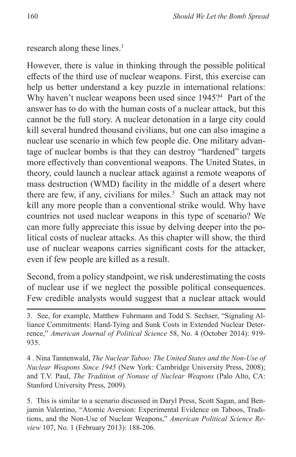research along these lines.3

However, there is value in thinking through the possible political effects of the third use of nuclear weapons. First, this exercise can help us better understand a key puzzle in international relations: Why haven't nuclear weapons been used since 1945?<sup>4</sup> Part of the answer has to do with the human costs of a nuclear attack, but this cannot be the full story. A nuclear detonation in a large city could kill several hundred thousand civilians, but one can also imagine a nuclear use scenario in which few people die. One military advantage of nuclear bombs is that they can destroy "hardened" targets more effectively than conventional weapons. The United States, in theory, could launch a nuclear attack against a remote weapons of mass destruction (WMD) facility in the middle of a desert where there are few, if any, civilians for miles.<sup>5</sup> Such an attack may not kill any more people than a conventional strike would. Why have countries not used nuclear weapons in this type of scenario? We can more fully appreciate this issue by delving deeper into the political costs of nuclear attacks. As this chapter will show, the third use of nuclear weapons carries significant costs for the attacker, even if few people are killed as a result.

Second, from a policy standpoint, we risk underestimating the costs of nuclear use if we neglect the possible political consequences. Few credible analysts would suggest that a nuclear attack would

4 . Nina Tannenwald, *The Nuclear Taboo: The United States and the Non-Use of Nuclear Weapons Since 1945* (New York: Cambridge University Press, 2008); and T.V. Paul, *The Tradition of Nonuse of Nuclear Weapons* (Palo Alto, CA: Stanford University Press, 2009).

5. This is similar to a scenario discussed in Daryl Press, Scott Sagan, and Benjamin Valentino, "Atomic Aversion: Experimental Evidence on Taboos, Traditions, and the Non-Use of Nuclear Weapons," *American Political Science Review* 107, No. 1 (February 2013): 188-206.

<sup>3.</sup> See, for example, Matthew Fuhrmann and Todd S. Sechser, "Signaling Alliance Commitments: Hand-Tying and Sunk Costs in Extended Nuclear Deterrence," *American Journal of Political Science* 58, No. 4 (October 2014): 919- 935.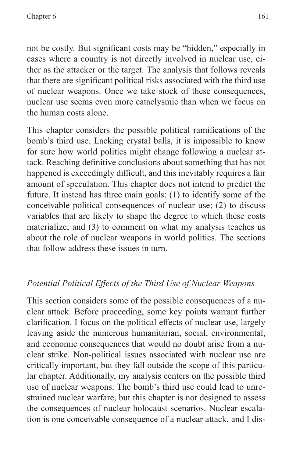not be costly. But significant costs may be "hidden," especially in cases where a country is not directly involved in nuclear use, either as the attacker or the target. The analysis that follows reveals that there are significant political risks associated with the third use of nuclear weapons. Once we take stock of these consequences, nuclear use seems even more cataclysmic than when we focus on the human costs alone.

This chapter considers the possible political ramifications of the bomb's third use. Lacking crystal balls, it is impossible to know for sure how world politics might change following a nuclear attack. Reaching definitive conclusions about something that has not happened is exceedingly difficult, and this inevitably requires a fair amount of speculation. This chapter does not intend to predict the future. It instead has three main goals: (1) to identify some of the conceivable political consequences of nuclear use; (2) to discuss variables that are likely to shape the degree to which these costs materialize; and (3) to comment on what my analysis teaches us about the role of nuclear weapons in world politics. The sections that follow address these issues in turn.

## *Potential Political Effects of the Third Use of Nuclear Weapons*

This section considers some of the possible consequences of a nuclear attack. Before proceeding, some key points warrant further clarification. I focus on the political effects of nuclear use, largely leaving aside the numerous humanitarian, social, environmental, and economic consequences that would no doubt arise from a nuclear strike. Non-political issues associated with nuclear use are critically important, but they fall outside the scope of this particular chapter. Additionally, my analysis centers on the possible third use of nuclear weapons. The bomb's third use could lead to unrestrained nuclear warfare, but this chapter is not designed to assess the consequences of nuclear holocaust scenarios. Nuclear escalation is one conceivable consequence of a nuclear attack, and I dis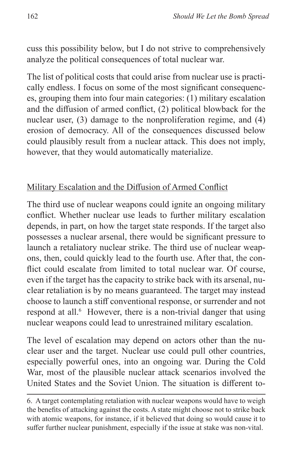cuss this possibility below, but I do not strive to comprehensively analyze the political consequences of total nuclear war.

The list of political costs that could arise from nuclear use is practically endless. I focus on some of the most significant consequences, grouping them into four main categories: (1) military escalation and the diffusion of armed conflict, (2) political blowback for the nuclear user, (3) damage to the nonproliferation regime, and (4) erosion of democracy. All of the consequences discussed below could plausibly result from a nuclear attack. This does not imply, however, that they would automatically materialize.

#### Military Escalation and the Diffusion of Armed Conflict

The third use of nuclear weapons could ignite an ongoing military conflict. Whether nuclear use leads to further military escalation depends, in part, on how the target state responds. If the target also possesses a nuclear arsenal, there would be significant pressure to launch a retaliatory nuclear strike. The third use of nuclear weapons, then, could quickly lead to the fourth use. After that, the conflict could escalate from limited to total nuclear war. Of course, even if the target has the capacity to strike back with its arsenal, nuclear retaliation is by no means guaranteed. The target may instead choose to launch a stiff conventional response, or surrender and not respond at all.<sup>6</sup> However, there is a non-trivial danger that using nuclear weapons could lead to unrestrained military escalation.

The level of escalation may depend on actors other than the nuclear user and the target. Nuclear use could pull other countries, especially powerful ones, into an ongoing war. During the Cold War, most of the plausible nuclear attack scenarios involved the United States and the Soviet Union. The situation is different to-

<sup>6.</sup> A target contemplating retaliation with nuclear weapons would have to weigh the benefits of attacking against the costs. A state might choose not to strike back with atomic weapons, for instance, if it believed that doing so would cause it to suffer further nuclear punishment, especially if the issue at stake was non-vital.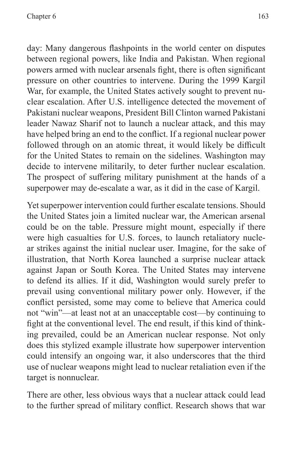day: Many dangerous flashpoints in the world center on disputes between regional powers, like India and Pakistan. When regional powers armed with nuclear arsenals fight, there is often significant pressure on other countries to intervene. During the 1999 Kargil War, for example, the United States actively sought to prevent nuclear escalation. After U.S. intelligence detected the movement of Pakistani nuclear weapons, President Bill Clinton warned Pakistani leader Nawaz Sharif not to launch a nuclear attack, and this may have helped bring an end to the conflict. If a regional nuclear power followed through on an atomic threat, it would likely be difficult for the United States to remain on the sidelines. Washington may decide to intervene militarily, to deter further nuclear escalation. The prospect of suffering military punishment at the hands of a superpower may de-escalate a war, as it did in the case of Kargil.

Yet superpower intervention could further escalate tensions. Should the United States join a limited nuclear war, the American arsenal could be on the table. Pressure might mount, especially if there were high casualties for U.S. forces, to launch retaliatory nuclear strikes against the initial nuclear user. Imagine, for the sake of illustration, that North Korea launched a surprise nuclear attack against Japan or South Korea. The United States may intervene to defend its allies. If it did, Washington would surely prefer to prevail using conventional military power only. However, if the conflict persisted, some may come to believe that America could not "win"—at least not at an unacceptable cost—by continuing to fight at the conventional level. The end result, if this kind of thinking prevailed, could be an American nuclear response. Not only does this stylized example illustrate how superpower intervention could intensify an ongoing war, it also underscores that the third use of nuclear weapons might lead to nuclear retaliation even if the target is nonnuclear.

There are other, less obvious ways that a nuclear attack could lead to the further spread of military conflict. Research shows that war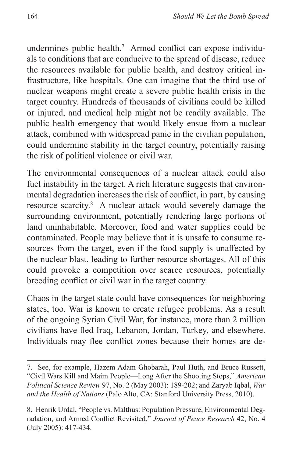undermines public health.7 Armed conflict can expose individuals to conditions that are conducive to the spread of disease, reduce the resources available for public health, and destroy critical infrastructure, like hospitals. One can imagine that the third use of nuclear weapons might create a severe public health crisis in the target country. Hundreds of thousands of civilians could be killed or injured, and medical help might not be readily available. The public health emergency that would likely ensue from a nuclear attack, combined with widespread panic in the civilian population, could undermine stability in the target country, potentially raising the risk of political violence or civil war.

The environmental consequences of a nuclear attack could also fuel instability in the target. A rich literature suggests that environmental degradation increases the risk of conflict, in part, by causing resource scarcity.<sup>8</sup> A nuclear attack would severely damage the surrounding environment, potentially rendering large portions of land uninhabitable. Moreover, food and water supplies could be contaminated. People may believe that it is unsafe to consume resources from the target, even if the food supply is unaffected by the nuclear blast, leading to further resource shortages. All of this could provoke a competition over scarce resources, potentially breeding conflict or civil war in the target country.

Chaos in the target state could have consequences for neighboring states, too. War is known to create refugee problems. As a result of the ongoing Syrian Civil War, for instance, more than 2 million civilians have fled Iraq, Lebanon, Jordan, Turkey, and elsewhere. Individuals may flee conflict zones because their homes are de-

<sup>7.</sup> See, for example, Hazem Adam Ghobarah, Paul Huth, and Bruce Russett, "Civil Wars Kill and Maim People—Long After the Shooting Stops," *American Political Science Review* 97, No. 2 (May 2003): 189-202; and Zaryab Iqbal, *War and the Health of Nations* (Palo Alto, CA: Stanford University Press, 2010).

<sup>8.</sup> Henrik Urdal, "People vs. Malthus: Population Pressure, Environmental Degradation, and Armed Conflict Revisited," *Journal of Peace Research* 42, No. 4 (July 2005): 417-434.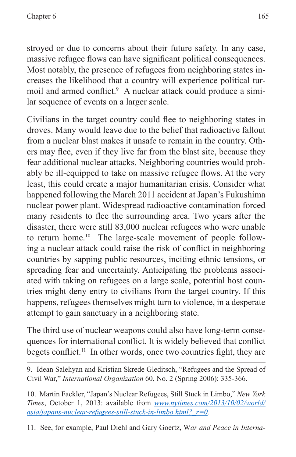stroyed or due to concerns about their future safety. In any case, massive refugee flows can have significant political consequences. Most notably, the presence of refugees from neighboring states increases the likelihood that a country will experience political turmoil and armed conflict.<sup>9</sup> A nuclear attack could produce a similar sequence of events on a larger scale.

Civilians in the target country could flee to neighboring states in droves. Many would leave due to the belief that radioactive fallout from a nuclear blast makes it unsafe to remain in the country. Others may flee, even if they live far from the blast site, because they fear additional nuclear attacks. Neighboring countries would probably be ill-equipped to take on massive refugee flows. At the very least, this could create a major humanitarian crisis. Consider what happened following the March 2011 accident at Japan's Fukushima nuclear power plant. Widespread radioactive contamination forced many residents to flee the surrounding area. Two years after the disaster, there were still 83,000 nuclear refugees who were unable to return home.<sup>10</sup> The large-scale movement of people following a nuclear attack could raise the risk of conflict in neighboring countries by sapping public resources, inciting ethnic tensions, or spreading fear and uncertainty. Anticipating the problems associated with taking on refugees on a large scale, potential host countries might deny entry to civilians from the target country. If this happens, refugees themselves might turn to violence, in a desperate attempt to gain sanctuary in a neighboring state.

The third use of nuclear weapons could also have long-term consequences for international conflict. It is widely believed that conflict begets conflict.<sup>11</sup> In other words, once two countries fight, they are

9. Idean Salehyan and Kristian Skrede Gleditsch, "Refugees and the Spread of Civil War," *International Organization* 60, No. 2 (Spring 2006): 335-366.

10. Martin Fackler, "Japan's Nuclear Refugees, Still Stuck in Limbo," *New York Times*, October 1, 2013: available from *[www.nytimes.com/2013/10/02/world/](www.nytimes.com/2013/10/02/world/asia/japans-nuclear-refugees-still-stuck-in-limbo.html?_r=0) [asia/japans-nuclear-refugees-still-stuck-in-limbo.html?\\_r=0.](www.nytimes.com/2013/10/02/world/asia/japans-nuclear-refugees-still-stuck-in-limbo.html?_r=0)*

11. See, for example, Paul Diehl and Gary Goertz, W*ar and Peace in Interna-*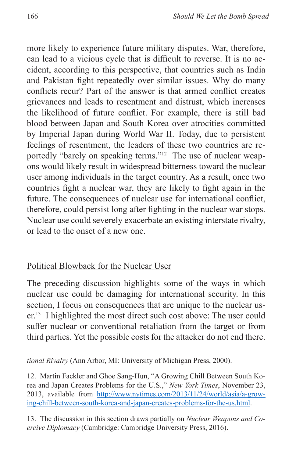more likely to experience future military disputes. War, therefore, can lead to a vicious cycle that is difficult to reverse. It is no accident, according to this perspective, that countries such as India and Pakistan fight repeatedly over similar issues. Why do many conflicts recur? Part of the answer is that armed conflict creates grievances and leads to resentment and distrust, which increases the likelihood of future conflict. For example, there is still bad blood between Japan and South Korea over atrocities committed by Imperial Japan during World War II. Today, due to persistent feelings of resentment, the leaders of these two countries are reportedly "barely on speaking terms."12 The use of nuclear weapons would likely result in widespread bitterness toward the nuclear user among individuals in the target country. As a result, once two countries fight a nuclear war, they are likely to fight again in the future. The consequences of nuclear use for international conflict, therefore, could persist long after fighting in the nuclear war stops. Nuclear use could severely exacerbate an existing interstate rivalry, or lead to the onset of a new one.

#### Political Blowback for the Nuclear User

The preceding discussion highlights some of the ways in which nuclear use could be damaging for international security. In this section, I focus on consequences that are unique to the nuclear user.<sup>13</sup> I highlighted the most direct such cost above: The user could suffer nuclear or conventional retaliation from the target or from third parties. Yet the possible costs for the attacker do not end there.

*tional Rivalry* (Ann Arbor, MI: University of Michigan Press, 2000).

12. Martin Fackler and Ghoe Sang-Hun, "A Growing Chill Between South Korea and Japan Creates Problems for the U.S.," *New York Times*, November 23, 2013, available from [http://www.nytimes.com/2013/11/24/world/asia/a-grow](http://www.nytimes.com/2013/11/24/world/asia/a-growing-chill-between-south-korea-and-japan-creates-problems-for-the-us.html)[ing-chill-between-south-korea-and-japan-creates-problems-for-the-us.html.](http://www.nytimes.com/2013/11/24/world/asia/a-growing-chill-between-south-korea-and-japan-creates-problems-for-the-us.html)

13. The discussion in this section draws partially on *Nuclear Weapons and Coercive Diplomacy* (Cambridge: Cambridge University Press, 2016).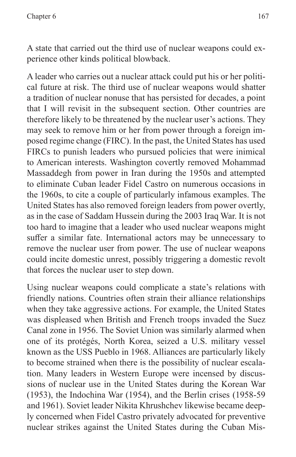A state that carried out the third use of nuclear weapons could experience other kinds political blowback.

A leader who carries out a nuclear attack could put his or her political future at risk. The third use of nuclear weapons would shatter a tradition of nuclear nonuse that has persisted for decades, a point that I will revisit in the subsequent section. Other countries are therefore likely to be threatened by the nuclear user's actions. They may seek to remove him or her from power through a foreign imposed regime change (FIRC). In the past, the United States has used FIRCs to punish leaders who pursued policies that were inimical to American interests. Washington covertly removed Mohammad Massaddegh from power in Iran during the 1950s and attempted to eliminate Cuban leader Fidel Castro on numerous occasions in the 1960s, to cite a couple of particularly infamous examples. The United States has also removed foreign leaders from power overtly, as in the case of Saddam Hussein during the 2003 Iraq War. It is not too hard to imagine that a leader who used nuclear weapons might suffer a similar fate. International actors may be unnecessary to remove the nuclear user from power. The use of nuclear weapons could incite domestic unrest, possibly triggering a domestic revolt that forces the nuclear user to step down.

Using nuclear weapons could complicate a state's relations with friendly nations. Countries often strain their alliance relationships when they take aggressive actions. For example, the United States was displeased when British and French troops invaded the Suez Canal zone in 1956. The Soviet Union was similarly alarmed when one of its protégés, North Korea, seized a U.S. military vessel known as the USS Pueblo in 1968. Alliances are particularly likely to become strained when there is the possibility of nuclear escalation. Many leaders in Western Europe were incensed by discussions of nuclear use in the United States during the Korean War (1953), the Indochina War (1954), and the Berlin crises (1958-59 and 1961). Soviet leader Nikita Khrushchev likewise became deeply concerned when Fidel Castro privately advocated for preventive nuclear strikes against the United States during the Cuban Mis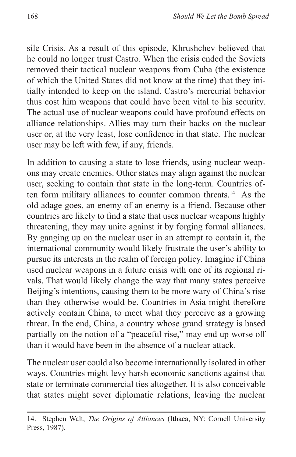sile Crisis. As a result of this episode, Khrushchev believed that he could no longer trust Castro. When the crisis ended the Soviets removed their tactical nuclear weapons from Cuba (the existence of which the United States did not know at the time) that they initially intended to keep on the island. Castro's mercurial behavior thus cost him weapons that could have been vital to his security. The actual use of nuclear weapons could have profound effects on alliance relationships. Allies may turn their backs on the nuclear user or, at the very least, lose confidence in that state. The nuclear user may be left with few, if any, friends.

In addition to causing a state to lose friends, using nuclear weapons may create enemies. Other states may align against the nuclear user, seeking to contain that state in the long-term. Countries often form military alliances to counter common threats.14 As the old adage goes, an enemy of an enemy is a friend. Because other countries are likely to find a state that uses nuclear weapons highly threatening, they may unite against it by forging formal alliances. By ganging up on the nuclear user in an attempt to contain it, the international community would likely frustrate the user's ability to pursue its interests in the realm of foreign policy. Imagine if China used nuclear weapons in a future crisis with one of its regional rivals. That would likely change the way that many states perceive Beijing's intentions, causing them to be more wary of China's rise than they otherwise would be. Countries in Asia might therefore actively contain China, to meet what they perceive as a growing threat. In the end, China, a country whose grand strategy is based partially on the notion of a "peaceful rise," may end up worse off than it would have been in the absence of a nuclear attack.

The nuclear user could also become internationally isolated in other ways. Countries might levy harsh economic sanctions against that state or terminate commercial ties altogether. It is also conceivable that states might sever diplomatic relations, leaving the nuclear

<sup>14.</sup> Stephen Walt, *The Origins of Alliances* (Ithaca, NY: Cornell University Press, 1987).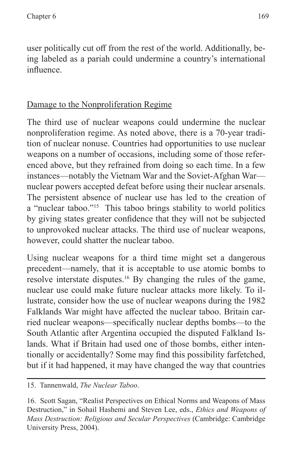user politically cut off from the rest of the world. Additionally, being labeled as a pariah could undermine a country's international influence.

## Damage to the Nonproliferation Regime

The third use of nuclear weapons could undermine the nuclear nonproliferation regime. As noted above, there is a 70-year tradition of nuclear nonuse. Countries had opportunities to use nuclear weapons on a number of occasions, including some of those referenced above, but they refrained from doing so each time. In a few instances—notably the Vietnam War and the Soviet-Afghan War nuclear powers accepted defeat before using their nuclear arsenals. The persistent absence of nuclear use has led to the creation of a "nuclear taboo."15 This taboo brings stability to world politics by giving states greater confidence that they will not be subjected to unprovoked nuclear attacks. The third use of nuclear weapons, however, could shatter the nuclear taboo.

Using nuclear weapons for a third time might set a dangerous precedent—namely, that it is acceptable to use atomic bombs to resolve interstate disputes.16 By changing the rules of the game, nuclear use could make future nuclear attacks more likely. To illustrate, consider how the use of nuclear weapons during the 1982 Falklands War might have affected the nuclear taboo. Britain carried nuclear weapons—specifically nuclear depths bombs—to the South Atlantic after Argentina occupied the disputed Falkland Islands. What if Britain had used one of those bombs, either intentionally or accidentally? Some may find this possibility farfetched, but if it had happened, it may have changed the way that countries

15. Tannenwald, *The Nuclear Taboo*.

<sup>16.</sup> Scott Sagan, "Realist Perspectives on Ethical Norms and Weapons of Mass Destruction," in Sohail Hashemi and Steven Lee, eds., *Ethics and Weapons of Mass Destruction: Religious and Secular Perspectives* (Cambridge: Cambridge University Press, 2004).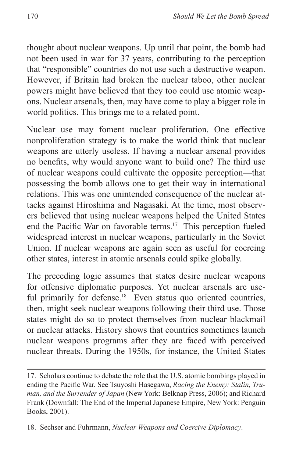thought about nuclear weapons. Up until that point, the bomb had not been used in war for 37 years, contributing to the perception that "responsible" countries do not use such a destructive weapon. However, if Britain had broken the nuclear taboo, other nuclear powers might have believed that they too could use atomic weapons. Nuclear arsenals, then, may have come to play a bigger role in world politics. This brings me to a related point.

Nuclear use may foment nuclear proliferation. One effective nonproliferation strategy is to make the world think that nuclear weapons are utterly useless. If having a nuclear arsenal provides no benefits, why would anyone want to build one? The third use of nuclear weapons could cultivate the opposite perception—that possessing the bomb allows one to get their way in international relations. This was one unintended consequence of the nuclear attacks against Hiroshima and Nagasaki. At the time, most observers believed that using nuclear weapons helped the United States end the Pacific War on favorable terms.<sup>17</sup> This perception fueled widespread interest in nuclear weapons, particularly in the Soviet Union. If nuclear weapons are again seen as useful for coercing other states, interest in atomic arsenals could spike globally.

The preceding logic assumes that states desire nuclear weapons for offensive diplomatic purposes. Yet nuclear arsenals are useful primarily for defense.<sup>18</sup> Even status quo oriented countries, then, might seek nuclear weapons following their third use. Those states might do so to protect themselves from nuclear blackmail or nuclear attacks. History shows that countries sometimes launch nuclear weapons programs after they are faced with perceived nuclear threats. During the 1950s, for instance, the United States

<sup>17.</sup> Scholars continue to debate the role that the U.S. atomic bombings played in ending the Pacific War. See Tsuyoshi Hasegawa, *Racing the Enemy: Stalin, Truman, and the Surrender of Japan* (New York: Belknap Press, 2006); and Richard Frank (Downfall: The End of the Imperial Japanese Empire, New York: Penguin Books, 2001).

<sup>18.</sup> Sechser and Fuhrmann, *Nuclear Weapons and Coercive Diplomacy*.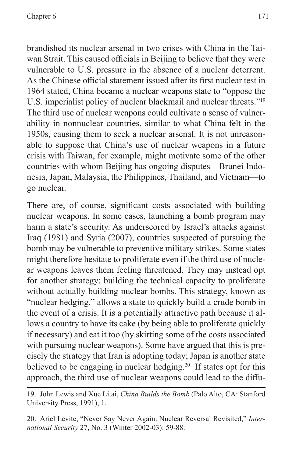brandished its nuclear arsenal in two crises with China in the Taiwan Strait. This caused officials in Beijing to believe that they were vulnerable to U.S. pressure in the absence of a nuclear deterrent. As the Chinese official statement issued after its first nuclear test in 1964 stated, China became a nuclear weapons state to "oppose the U.S. imperialist policy of nuclear blackmail and nuclear threats."19 The third use of nuclear weapons could cultivate a sense of vulnerability in nonnuclear countries, similar to what China felt in the 1950s, causing them to seek a nuclear arsenal. It is not unreasonable to suppose that China's use of nuclear weapons in a future crisis with Taiwan, for example, might motivate some of the other countries with whom Beijing has ongoing disputes—Brunei Indonesia, Japan, Malaysia, the Philippines, Thailand, and Vietnam—to go nuclear.

There are, of course, significant costs associated with building nuclear weapons. In some cases, launching a bomb program may harm a state's security. As underscored by Israel's attacks against Iraq (1981) and Syria (2007), countries suspected of pursuing the bomb may be vulnerable to preventive military strikes. Some states might therefore hesitate to proliferate even if the third use of nuclear weapons leaves them feeling threatened. They may instead opt for another strategy: building the technical capacity to proliferate without actually building nuclear bombs. This strategy, known as "nuclear hedging," allows a state to quickly build a crude bomb in the event of a crisis. It is a potentially attractive path because it allows a country to have its cake (by being able to proliferate quickly if necessary) and eat it too (by skirting some of the costs associated with pursuing nuclear weapons). Some have argued that this is precisely the strategy that Iran is adopting today; Japan is another state believed to be engaging in nuclear hedging.<sup>20</sup> If states opt for this approach, the third use of nuclear weapons could lead to the diffu-

<sup>19.</sup> John Lewis and Xue Litai, *China Builds the Bomb* (Palo Alto, CA: Stanford University Press, 1991), 1.

<sup>20.</sup> Ariel Levite, "Never Say Never Again: Nuclear Reversal Revisited," *International Security* 27, No. 3 (Winter 2002-03): 59-88.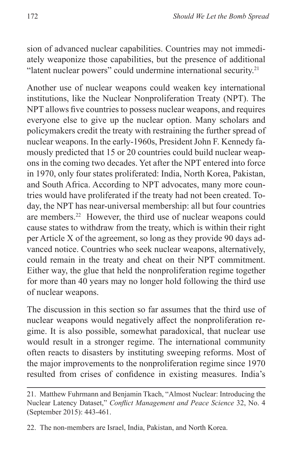sion of advanced nuclear capabilities. Countries may not immediately weaponize those capabilities, but the presence of additional "latent nuclear powers" could undermine international security.<sup>21</sup>

Another use of nuclear weapons could weaken key international institutions, like the Nuclear Nonproliferation Treaty (NPT). The NPT allows five countries to possess nuclear weapons, and requires everyone else to give up the nuclear option. Many scholars and policymakers credit the treaty with restraining the further spread of nuclear weapons. In the early-1960s, President John F. Kennedy famously predicted that 15 or 20 countries could build nuclear weapons in the coming two decades. Yet after the NPT entered into force in 1970, only four states proliferated: India, North Korea, Pakistan, and South Africa. According to NPT advocates, many more countries would have proliferated if the treaty had not been created. Today, the NPT has near-universal membership: all but four countries are members.22 However, the third use of nuclear weapons could cause states to withdraw from the treaty, which is within their right per Article X of the agreement, so long as they provide 90 days advanced notice. Countries who seek nuclear weapons, alternatively, could remain in the treaty and cheat on their NPT commitment. Either way, the glue that held the nonproliferation regime together for more than 40 years may no longer hold following the third use of nuclear weapons.

The discussion in this section so far assumes that the third use of nuclear weapons would negatively affect the nonproliferation regime. It is also possible, somewhat paradoxical, that nuclear use would result in a stronger regime. The international community often reacts to disasters by instituting sweeping reforms. Most of the major improvements to the nonproliferation regime since 1970 resulted from crises of confidence in existing measures. India's

<sup>21.</sup> Matthew Fuhrmann and Benjamin Tkach, "Almost Nuclear: Introducing the Nuclear Latency Dataset," *Conflict Management and Peace Science* 32, No. 4 (September 2015): 443-461.

<sup>22.</sup> The non-members are Israel, India, Pakistan, and North Korea.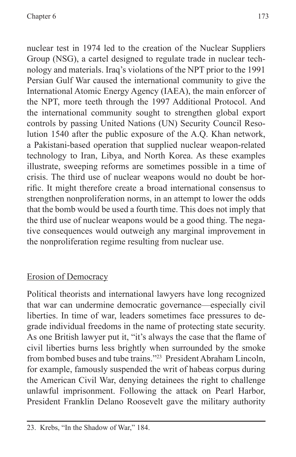nuclear test in 1974 led to the creation of the Nuclear Suppliers Group (NSG), a cartel designed to regulate trade in nuclear technology and materials. Iraq's violations of the NPT prior to the 1991 Persian Gulf War caused the international community to give the International Atomic Energy Agency (IAEA), the main enforcer of the NPT, more teeth through the 1997 Additional Protocol. And the international community sought to strengthen global export controls by passing United Nations (UN) Security Council Resolution 1540 after the public exposure of the A.Q. Khan network, a Pakistani-based operation that supplied nuclear weapon-related technology to Iran, Libya, and North Korea. As these examples illustrate, sweeping reforms are sometimes possible in a time of crisis. The third use of nuclear weapons would no doubt be horrific. It might therefore create a broad international consensus to strengthen nonproliferation norms, in an attempt to lower the odds that the bomb would be used a fourth time. This does not imply that the third use of nuclear weapons would be a good thing. The negative consequences would outweigh any marginal improvement in the nonproliferation regime resulting from nuclear use.

## Erosion of Democracy

Political theorists and international lawyers have long recognized that war can undermine democratic governance—especially civil liberties. In time of war, leaders sometimes face pressures to degrade individual freedoms in the name of protecting state security. As one British lawyer put it, "it's always the case that the flame of civil liberties burns less brightly when surrounded by the smoke from bombed buses and tube trains."23 President Abraham Lincoln, for example, famously suspended the writ of habeas corpus during the American Civil War, denying detainees the right to challenge unlawful imprisonment. Following the attack on Pearl Harbor, President Franklin Delano Roosevelt gave the military authority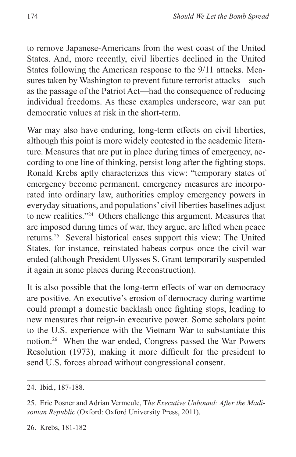to remove Japanese-Americans from the west coast of the United States. And, more recently, civil liberties declined in the United States following the American response to the 9/11 attacks. Measures taken by Washington to prevent future terrorist attacks—such as the passage of the Patriot Act—had the consequence of reducing individual freedoms. As these examples underscore, war can put democratic values at risk in the short-term.

War may also have enduring, long-term effects on civil liberties, although this point is more widely contested in the academic literature. Measures that are put in place during times of emergency, according to one line of thinking, persist long after the fighting stops. Ronald Krebs aptly characterizes this view: "temporary states of emergency become permanent, emergency measures are incorporated into ordinary law, authorities employ emergency powers in everyday situations, and populations' civil liberties baselines adjust to new realities."24 Others challenge this argument. Measures that are imposed during times of war, they argue, are lifted when peace returns.25 Several historical cases support this view: The United States, for instance, reinstated habeas corpus once the civil war ended (although President Ulysses S. Grant temporarily suspended it again in some places during Reconstruction).

It is also possible that the long-term effects of war on democracy are positive. An executive's erosion of democracy during wartime could prompt a domestic backlash once fighting stops, leading to new measures that reign-in executive power. Some scholars point to the U.S. experience with the Vietnam War to substantiate this notion.26 When the war ended, Congress passed the War Powers Resolution (1973), making it more difficult for the president to send U.S. forces abroad without congressional consent.

<sup>24.</sup> Ibid*.*, 187-188.

<sup>25.</sup> Eric Posner and Adrian Vermeule, T*he Executive Unbound: After the Madisonian Republic* (Oxford: Oxford University Press, 2011).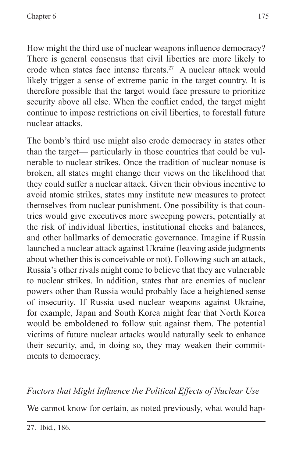How might the third use of nuclear weapons influence democracy? There is general consensus that civil liberties are more likely to erode when states face intense threats.27 A nuclear attack would likely trigger a sense of extreme panic in the target country. It is therefore possible that the target would face pressure to prioritize security above all else. When the conflict ended, the target might continue to impose restrictions on civil liberties, to forestall future nuclear attacks.

The bomb's third use might also erode democracy in states other than the target— particularly in those countries that could be vulnerable to nuclear strikes. Once the tradition of nuclear nonuse is broken, all states might change their views on the likelihood that they could suffer a nuclear attack. Given their obvious incentive to avoid atomic strikes, states may institute new measures to protect themselves from nuclear punishment. One possibility is that countries would give executives more sweeping powers, potentially at the risk of individual liberties, institutional checks and balances, and other hallmarks of democratic governance. Imagine if Russia launched a nuclear attack against Ukraine (leaving aside judgments about whether this is conceivable or not). Following such an attack, Russia's other rivals might come to believe that they are vulnerable to nuclear strikes. In addition, states that are enemies of nuclear powers other than Russia would probably face a heightened sense of insecurity. If Russia used nuclear weapons against Ukraine, for example, Japan and South Korea might fear that North Korea would be emboldened to follow suit against them. The potential victims of future nuclear attacks would naturally seek to enhance their security, and, in doing so, they may weaken their commitments to democracy.

## *Factors that Might Influence the Political Effects of Nuclear Use*

We cannot know for certain, as noted previously, what would hap-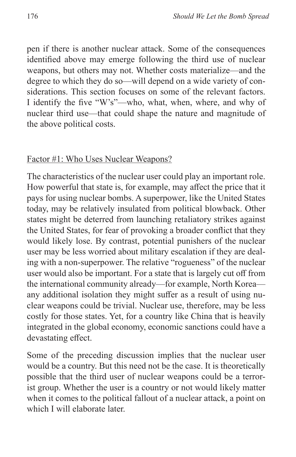pen if there is another nuclear attack. Some of the consequences identified above may emerge following the third use of nuclear weapons, but others may not. Whether costs materialize—and the degree to which they do so—will depend on a wide variety of considerations. This section focuses on some of the relevant factors. I identify the five "W's"—who, what, when, where, and why of nuclear third use—that could shape the nature and magnitude of the above political costs.

#### Factor #1: Who Uses Nuclear Weapons?

The characteristics of the nuclear user could play an important role. How powerful that state is, for example, may affect the price that it pays for using nuclear bombs. A superpower, like the United States today, may be relatively insulated from political blowback. Other states might be deterred from launching retaliatory strikes against the United States, for fear of provoking a broader conflict that they would likely lose. By contrast, potential punishers of the nuclear user may be less worried about military escalation if they are dealing with a non-superpower. The relative "rogueness" of the nuclear user would also be important. For a state that is largely cut off from the international community already—for example, North Korea any additional isolation they might suffer as a result of using nuclear weapons could be trivial. Nuclear use, therefore, may be less costly for those states. Yet, for a country like China that is heavily integrated in the global economy, economic sanctions could have a devastating effect.

Some of the preceding discussion implies that the nuclear user would be a country. But this need not be the case. It is theoretically possible that the third user of nuclear weapons could be a terrorist group. Whether the user is a country or not would likely matter when it comes to the political fallout of a nuclear attack, a point on which I will elaborate later.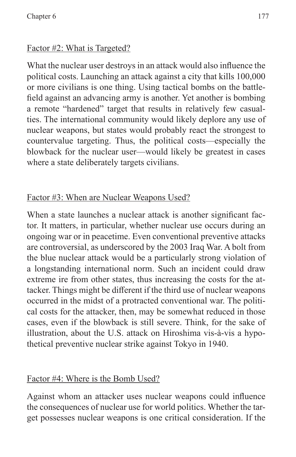#### Factor #2: What is Targeted?

What the nuclear user destroys in an attack would also influence the political costs. Launching an attack against a city that kills 100,000 or more civilians is one thing. Using tactical bombs on the battlefield against an advancing army is another. Yet another is bombing a remote "hardened" target that results in relatively few casualties. The international community would likely deplore any use of nuclear weapons, but states would probably react the strongest to countervalue targeting. Thus, the political costs—especially the blowback for the nuclear user—would likely be greatest in cases where a state deliberately targets civilians.

## Factor #3: When are Nuclear Weapons Used?

When a state launches a nuclear attack is another significant factor. It matters, in particular, whether nuclear use occurs during an ongoing war or in peacetime. Even conventional preventive attacks are controversial, as underscored by the 2003 Iraq War. A bolt from the blue nuclear attack would be a particularly strong violation of a longstanding international norm. Such an incident could draw extreme ire from other states, thus increasing the costs for the attacker. Things might be different if the third use of nuclear weapons occurred in the midst of a protracted conventional war. The political costs for the attacker, then, may be somewhat reduced in those cases, even if the blowback is still severe. Think, for the sake of illustration, about the U.S. attack on Hiroshima vis-à-vis a hypothetical preventive nuclear strike against Tokyo in 1940.

#### Factor #4: Where is the Bomb Used?

Against whom an attacker uses nuclear weapons could influence the consequences of nuclear use for world politics. Whether the target possesses nuclear weapons is one critical consideration. If the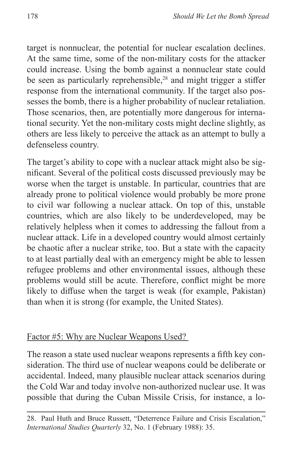target is nonnuclear, the potential for nuclear escalation declines. At the same time, some of the non-military costs for the attacker could increase. Using the bomb against a nonnuclear state could be seen as particularly reprehensible,<sup>28</sup> and might trigger a stiffer response from the international community. If the target also possesses the bomb, there is a higher probability of nuclear retaliation. Those scenarios, then, are potentially more dangerous for international security. Yet the non-military costs might decline slightly, as others are less likely to perceive the attack as an attempt to bully a defenseless country.

The target's ability to cope with a nuclear attack might also be significant. Several of the political costs discussed previously may be worse when the target is unstable. In particular, countries that are already prone to political violence would probably be more prone to civil war following a nuclear attack. On top of this, unstable countries, which are also likely to be underdeveloped, may be relatively helpless when it comes to addressing the fallout from a nuclear attack. Life in a developed country would almost certainly be chaotic after a nuclear strike, too. But a state with the capacity to at least partially deal with an emergency might be able to lessen refugee problems and other environmental issues, although these problems would still be acute. Therefore, conflict might be more likely to diffuse when the target is weak (for example, Pakistan) than when it is strong (for example, the United States).

#### Factor #5: Why are Nuclear Weapons Used?

The reason a state used nuclear weapons represents a fifth key consideration. The third use of nuclear weapons could be deliberate or accidental. Indeed, many plausible nuclear attack scenarios during the Cold War and today involve non-authorized nuclear use. It was possible that during the Cuban Missile Crisis, for instance, a lo-

28. Paul Huth and Bruce Russett, "Deterrence Failure and Crisis Escalation," *International Studies Quarterly* 32, No. 1 (February 1988): 35.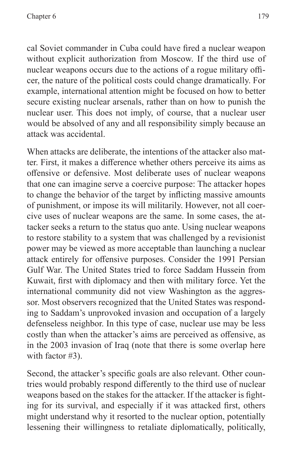cal Soviet commander in Cuba could have fired a nuclear weapon without explicit authorization from Moscow. If the third use of nuclear weapons occurs due to the actions of a rogue military officer, the nature of the political costs could change dramatically. For example, international attention might be focused on how to better secure existing nuclear arsenals, rather than on how to punish the nuclear user. This does not imply, of course, that a nuclear user would be absolved of any and all responsibility simply because an attack was accidental.

When attacks are deliberate, the intentions of the attacker also matter. First, it makes a difference whether others perceive its aims as offensive or defensive. Most deliberate uses of nuclear weapons that one can imagine serve a coercive purpose: The attacker hopes to change the behavior of the target by inflicting massive amounts of punishment, or impose its will militarily. However, not all coercive uses of nuclear weapons are the same. In some cases, the attacker seeks a return to the status quo ante. Using nuclear weapons to restore stability to a system that was challenged by a revisionist power may be viewed as more acceptable than launching a nuclear attack entirely for offensive purposes. Consider the 1991 Persian Gulf War. The United States tried to force Saddam Hussein from Kuwait, first with diplomacy and then with military force. Yet the international community did not view Washington as the aggressor. Most observers recognized that the United States was responding to Saddam's unprovoked invasion and occupation of a largely defenseless neighbor. In this type of case, nuclear use may be less costly than when the attacker's aims are perceived as offensive, as in the 2003 invasion of Iraq (note that there is some overlap here with factor #3).

Second, the attacker's specific goals are also relevant. Other countries would probably respond differently to the third use of nuclear weapons based on the stakes for the attacker. If the attacker is fighting for its survival, and especially if it was attacked first, others might understand why it resorted to the nuclear option, potentially lessening their willingness to retaliate diplomatically, politically,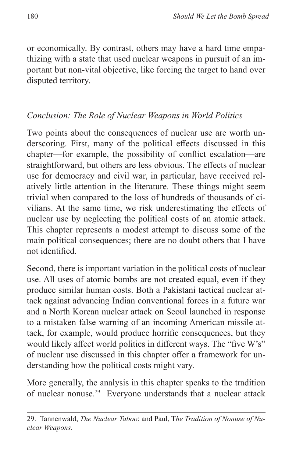or economically. By contrast, others may have a hard time empathizing with a state that used nuclear weapons in pursuit of an important but non-vital objective, like forcing the target to hand over disputed territory.

#### *Conclusion: The Role of Nuclear Weapons in World Politics*

Two points about the consequences of nuclear use are worth underscoring. First, many of the political effects discussed in this chapter—for example, the possibility of conflict escalation—are straightforward, but others are less obvious. The effects of nuclear use for democracy and civil war, in particular, have received relatively little attention in the literature. These things might seem trivial when compared to the loss of hundreds of thousands of civilians. At the same time, we risk underestimating the effects of nuclear use by neglecting the political costs of an atomic attack. This chapter represents a modest attempt to discuss some of the main political consequences; there are no doubt others that I have not identified.

Second, there is important variation in the political costs of nuclear use. All uses of atomic bombs are not created equal, even if they produce similar human costs. Both a Pakistani tactical nuclear attack against advancing Indian conventional forces in a future war and a North Korean nuclear attack on Seoul launched in response to a mistaken false warning of an incoming American missile attack, for example, would produce horrific consequences, but they would likely affect world politics in different ways. The "five W's" of nuclear use discussed in this chapter offer a framework for understanding how the political costs might vary.

More generally, the analysis in this chapter speaks to the tradition of nuclear nonuse.29 Everyone understands that a nuclear attack

<sup>29.</sup> Tannenwald, *The Nuclear Taboo*; and Paul, T*he Tradition of Nonuse of Nuclear Weapons*.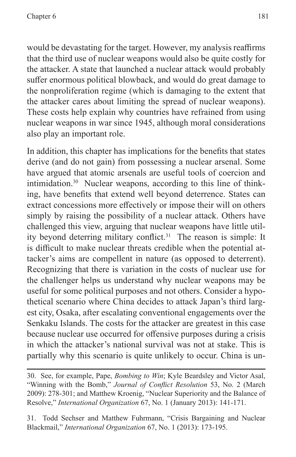would be devastating for the target. However, my analysis reaffirms that the third use of nuclear weapons would also be quite costly for the attacker. A state that launched a nuclear attack would probably suffer enormous political blowback, and would do great damage to the nonproliferation regime (which is damaging to the extent that the attacker cares about limiting the spread of nuclear weapons). These costs help explain why countries have refrained from using nuclear weapons in war since 1945, although moral considerations also play an important role.

In addition, this chapter has implications for the benefits that states derive (and do not gain) from possessing a nuclear arsenal. Some have argued that atomic arsenals are useful tools of coercion and intimidation.30 Nuclear weapons, according to this line of thinking, have benefits that extend well beyond deterrence. States can extract concessions more effectively or impose their will on others simply by raising the possibility of a nuclear attack. Others have challenged this view, arguing that nuclear weapons have little utility beyond deterring military conflict.<sup>31</sup> The reason is simple: It is difficult to make nuclear threats credible when the potential attacker's aims are compellent in nature (as opposed to deterrent). Recognizing that there is variation in the costs of nuclear use for the challenger helps us understand why nuclear weapons may be useful for some political purposes and not others. Consider a hypothetical scenario where China decides to attack Japan's third largest city, Osaka, after escalating conventional engagements over the Senkaku Islands. The costs for the attacker are greatest in this case because nuclear use occurred for offensive purposes during a crisis in which the attacker's national survival was not at stake. This is partially why this scenario is quite unlikely to occur. China is un-

31. Todd Sechser and Matthew Fuhrmann, "Crisis Bargaining and Nuclear Blackmail," *International Organization* 67, No. 1 (2013): 173-195.

<sup>30.</sup> See, for example, Pape, *Bombing to Win*; Kyle Beardsley and Victor Asal, "Winning with the Bomb," *Journal of Conflict Resolution* 53, No. 2 (March 2009): 278-301; and Matthew Kroenig, "Nuclear Superiority and the Balance of Resolve," *International Organization* 67, No. 1 (January 2013): 141-171.